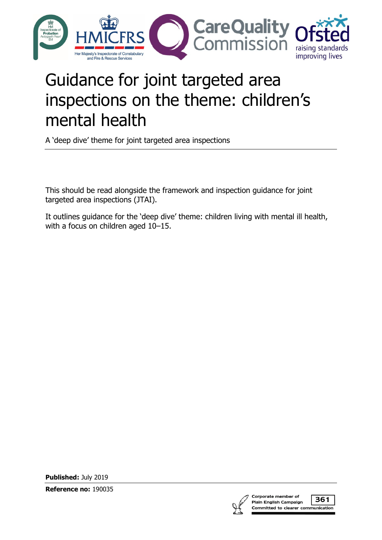

# Guidance for joint targeted area inspections on the theme: children's mental health

A 'deep dive' theme for joint targeted area inspections

This should be read alongside the framework and inspection guidance for joint targeted area inspections (JTAI).

It outlines guidance for the 'deep dive' theme: children living with mental ill health, with a focus on children aged 10–15.

**Published:** July 2019

**Reference no:** 190035



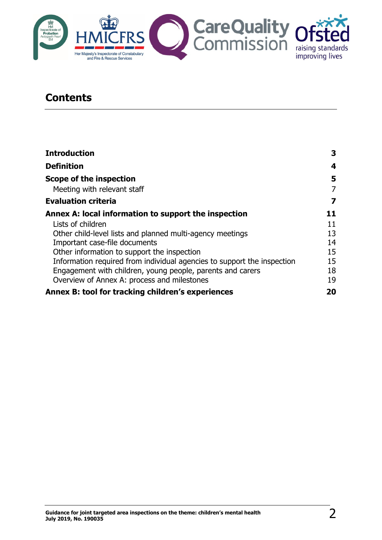

## **Contents**

| <b>Introduction</b>                                                     | 3  |
|-------------------------------------------------------------------------|----|
| <b>Definition</b>                                                       | 4  |
| Scope of the inspection                                                 | 5  |
| Meeting with relevant staff                                             | 7  |
| <b>Evaluation criteria</b>                                              | 7  |
| Annex A: local information to support the inspection                    | 11 |
| Lists of children                                                       | 11 |
| Other child-level lists and planned multi-agency meetings               | 13 |
| Important case-file documents                                           | 14 |
| Other information to support the inspection                             | 15 |
| Information required from individual agencies to support the inspection | 15 |
| Engagement with children, young people, parents and carers              | 18 |
| Overview of Annex A: process and milestones                             | 19 |
| Annex B: tool for tracking children's experiences                       | 20 |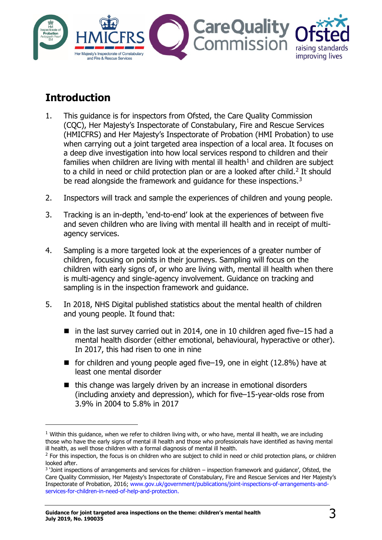

# <span id="page-2-0"></span>**Introduction**

- 1. This guidance is for inspectors from Ofsted, the Care Quality Commission (CQC), Her Majesty's Inspectorate of Constabulary, Fire and Rescue Services (HMICFRS) and Her Majesty's Inspectorate of Probation (HMI Probation) to use when carrying out a joint targeted area inspection of a local area. It focuses on a deep dive investigation into how local services respond to children and their families when children are living with mental ill health $1$  and children are subject to a child in need or child protection plan or are a looked after child.<sup>[2](#page-2-2)</sup> It should be read alongside the framework and quidance for these inspections.<sup>[3](#page-2-3)</sup>
- 2. Inspectors will track and sample the experiences of children and young people.
- 3. Tracking is an in-depth, 'end-to-end' look at the experiences of between five and seven children who are living with mental ill health and in receipt of multiagency services.
- 4. Sampling is a more targeted look at the experiences of a greater number of children, focusing on points in their journeys. Sampling will focus on the children with early signs of, or who are living with, mental ill health when there is multi-agency and single-agency involvement. Guidance on tracking and sampling is in the inspection framework and guidance.
- 5. In 2018, NHS Digital published statistics about the mental health of children and young people. It found that:
	- in the last survey carried out in 2014, one in 10 children aged five–15 had a mental health disorder (either emotional, behavioural, hyperactive or other). In 2017, this had risen to one in nine
	- for children and young people aged five–19, one in eight (12.8%) have at least one mental disorder
	- $\blacksquare$  this change was largely driven by an increase in emotional disorders (including anxiety and depression), which for five–15-year-olds rose from 3.9% in 2004 to 5.8% in 2017

<span id="page-2-1"></span> $1$  Within this guidance, when we refer to children living with, or who have, mental ill health, we are including those who have the early signs of mental ill health and those who professionals have identified as having mental ill health, as well those children with a formal diagnosis of mental ill health.

<span id="page-2-2"></span> $<sup>2</sup>$  For this inspection, the focus is on children who are subject to child in need or child protection plans, or children</sup> looked after.

<span id="page-2-3"></span><sup>3</sup> 'Joint inspections of arrangements and services for children – inspection framework and guidance', Ofsted, the Care Quality Commission, Her Majesty's Inspectorate of Constabulary, Fire and Rescue Services and Her Majesty's Inspectorate of Probation, 2016; [www.gov.uk/government/publications/joint-inspections-of-arrangements-and](https://www.gov.uk/government/publications/joint-inspections-of-arrangements-and-services-for-children-in-need-of-help-and-protection)[services-for-children-in-need-of-help-and-protection.](https://www.gov.uk/government/publications/joint-inspections-of-arrangements-and-services-for-children-in-need-of-help-and-protection)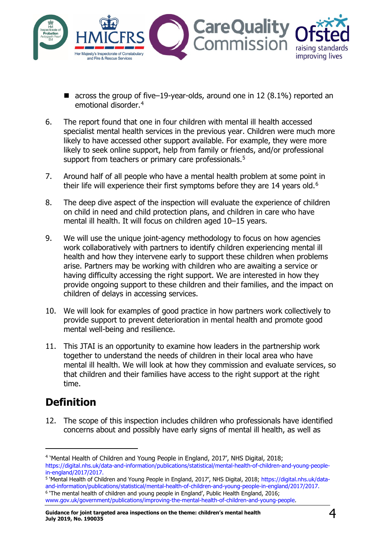

- $\blacksquare$  across the group of five–19-year-olds, around one in 12 (8.1%) reported an emotional disorder.[4](#page-3-1)
- 6. The report found that one in four children with mental ill health accessed specialist mental health services in the previous year. Children were much more likely to have accessed other support available. For example, they were more likely to seek online support, help from family or friends, and/or professional support from teachers or primary care professionals.<sup>[5](#page-3-2)</sup>
- 7. Around half of all people who have a mental health problem at some point in their life will experience their first symptoms before they are 14 years old.<sup>[6](#page-3-3)</sup>
- 8. The deep dive aspect of the inspection will evaluate the experience of children on child in need and child protection plans, and children in care who have mental ill health. It will focus on children aged 10–15 years.
- 9. We will use the unique joint-agency methodology to focus on how agencies work collaboratively with partners to identify children experiencing mental ill health and how they intervene early to support these children when problems arise. Partners may be working with children who are awaiting a service or having difficulty accessing the right support. We are interested in how they provide ongoing support to these children and their families, and the impact on children of delays in accessing services.
- 10. We will look for examples of good practice in how partners work collectively to provide support to prevent deterioration in mental health and promote good mental well-being and resilience.
- 11. This JTAI is an opportunity to examine how leaders in the partnership work together to understand the needs of children in their local area who have mental ill health. We will look at how they commission and evaluate services, so that children and their families have access to the right support at the right time.

# <span id="page-3-0"></span>**Definition**

ł

12. The scope of this inspection includes children who professionals have identified concerns about and possibly have early signs of mental ill health, as well as

<span id="page-3-1"></span><sup>4</sup> 'Mental Health of Children and Young People in England, 2017', NHS Digital, 2018; [https://digital.nhs.uk/data-and-information/publications/statistical/mental-health-of-children-and-young-people](https://digital.nhs.uk/data-and-information/publications/statistical/mental-health-of-children-and-young-people-in-england/2017/2017)[in-england/2017/2017.](https://digital.nhs.uk/data-and-information/publications/statistical/mental-health-of-children-and-young-people-in-england/2017/2017)

<span id="page-3-3"></span><span id="page-3-2"></span><sup>5</sup> 'Mental Health of Children and Young People in England, 2017', NHS Digital, 2018; [https://digital.nhs.uk/data](https://digital.nhs.uk/data-and-information/publications/statistical/mental-health-of-children-and-young-people-in-england/2017/2017)[and-information/publications/statistical/mental-health-of-children-and-young-people-in-england/2017/2017.](https://digital.nhs.uk/data-and-information/publications/statistical/mental-health-of-children-and-young-people-in-england/2017/2017) <sup>6</sup> 'The mental health of children and young people in England', Public Health England, 2016; [www.gov.uk/government/publications/improving-the-mental-health-of-children-and-young-people.](http://www.gov.uk/government/publications/improving-the-mental-health-of-children-and-young-people)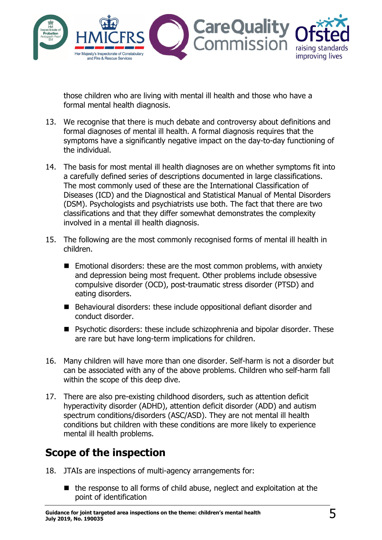

those children who are living with mental ill health and those who have a formal mental health diagnosis.

- 13. We recognise that there is much debate and controversy about definitions and formal diagnoses of mental ill health. A formal diagnosis requires that the symptoms have a significantly negative impact on the day-to-day functioning of the individual.
- 14. The basis for most mental ill health diagnoses are on whether symptoms fit into a carefully defined series of descriptions documented in large classifications. The most commonly used of these are the International Classification of Diseases (ICD) and the Diagnostical and Statistical Manual of Mental Disorders (DSM). Psychologists and psychiatrists use both. The fact that there are two classifications and that they differ somewhat demonstrates the complexity involved in a mental ill health diagnosis.
- 15. The following are the most commonly recognised forms of mental ill health in children.
	- $\blacksquare$  Emotional disorders: these are the most common problems, with anxiety and depression being most frequent. Other problems include obsessive compulsive disorder (OCD), post-traumatic stress disorder (PTSD) and eating disorders.
	- Behavioural disorders: these include oppositional defiant disorder and conduct disorder.
	- Psychotic disorders: these include schizophrenia and bipolar disorder. These are rare but have long-term implications for children.
- 16. Many children will have more than one disorder. Self-harm is not a disorder but can be associated with any of the above problems. Children who self-harm fall within the scope of this deep dive.
- 17. There are also pre-existing childhood disorders, such as attention deficit hyperactivity disorder (ADHD), attention deficit disorder (ADD) and autism spectrum conditions/disorders (ASC/ASD). They are not mental ill health conditions but children with these conditions are more likely to experience mental ill health problems.

# <span id="page-4-0"></span>**Scope of the inspection**

- 18. JTAIs are inspections of multi-agency arrangements for:
	- $\blacksquare$  the response to all forms of child abuse, neglect and exploitation at the point of identification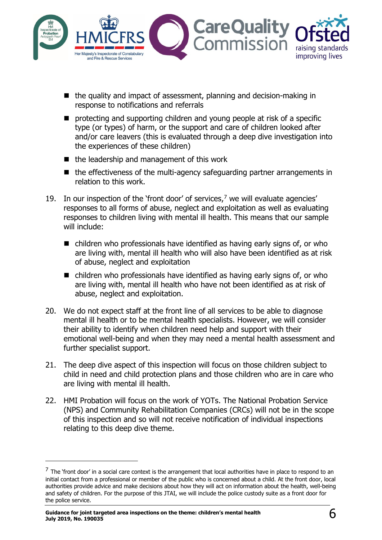

- $\blacksquare$  the quality and impact of assessment, planning and decision-making in response to notifications and referrals
- $\blacksquare$  protecting and supporting children and young people at risk of a specific type (or types) of harm, or the support and care of children looked after and/or care leavers (this is evaluated through a deep dive investigation into the experiences of these children)
- $\blacksquare$  the leadership and management of this work
- the effectiveness of the multi-agency safeguarding partner arrangements in relation to this work.
- 19. In our inspection of the 'front door' of services,<sup>[7](#page-5-0)</sup> we will evaluate agencies' responses to all forms of abuse, neglect and exploitation as well as evaluating responses to children living with mental ill health. This means that our sample will include:
	- $\blacksquare$  children who professionals have identified as having early signs of, or who are living with, mental ill health who will also have been identified as at risk of abuse, neglect and exploitation
	- $\blacksquare$  children who professionals have identified as having early signs of, or who are living with, mental ill health who have not been identified as at risk of abuse, neglect and exploitation.
- 20. We do not expect staff at the front line of all services to be able to diagnose mental ill health or to be mental health specialists. However, we will consider their ability to identify when children need help and support with their emotional well-being and when they may need a mental health assessment and further specialist support.
- 21. The deep dive aspect of this inspection will focus on those children subject to child in need and child protection plans and those children who are in care who are living with mental ill health.
- 22. HMI Probation will focus on the work of YOTs. The National Probation Service (NPS) and Community Rehabilitation Companies (CRCs) will not be in the scope of this inspection and so will not receive notification of individual inspections relating to this deep dive theme.

<span id="page-5-0"></span> $^{\prime}$  The 'front door' in a social care context is the arrangement that local authorities have in place to respond to an initial contact from a professional or member of the public who is concerned about a child. At the front door, local authorities provide advice and make decisions about how they will act on information about the health, well-being and safety of children. For the purpose of this JTAI, we will include the police custody suite as a front door for the police service.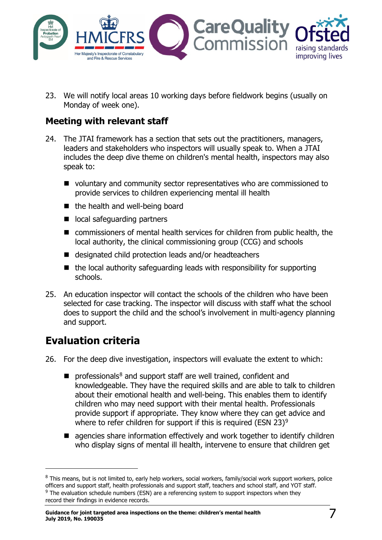

23. We will notify local areas 10 working days before fieldwork begins (usually on Monday of week one).

### <span id="page-6-0"></span>**Meeting with relevant staff**

- 24. The JTAI framework has a section that sets out the practitioners, managers, leaders and stakeholders who inspectors will usually speak to. When a JTAI includes the deep dive theme on children's mental health, inspectors may also speak to:
	- voluntary and community sector representatives who are commissioned to provide services to children experiencing mental ill health
	- the health and well-being board
	- local safeguarding partners
	- commissioners of mental health services for children from public health, the local authority, the clinical commissioning group (CCG) and schools
	- designated child protection leads and/or headteachers
	- $\blacksquare$  the local authority safeguarding leads with responsibility for supporting schools.
- 25. An education inspector will contact the schools of the children who have been selected for case tracking. The inspector will discuss with staff what the school does to support the child and the school's involvement in multi-agency planning and support.

# <span id="page-6-1"></span>**Evaluation criteria**

- 26. For the deep dive investigation, inspectors will evaluate the extent to which:
	- $\blacksquare$  professionals<sup>[8](#page-6-2)</sup> and support staff are well trained, confident and knowledgeable. They have the required skills and are able to talk to children about their emotional health and well-being. This enables them to identify children who may need support with their mental health. Professionals provide support if appropriate. They know where they can get advice and where to refer children for support if this is required (ESN 23)<sup>[9](#page-6-3)</sup>
	- **E** agencies share information effectively and work together to identify children who display signs of mental ill health, intervene to ensure that children get

<span id="page-6-3"></span><span id="page-6-2"></span><sup>&</sup>lt;sup>8</sup> This means, but is not limited to, early help workers, social workers, family/social work support workers, police officers and support staff, health professionals and support staff, teachers and school staff, and YOT staff. <sup>9</sup> The evaluation schedule numbers (ESN) are a referencing system to support inspectors when they record their findings in evidence records.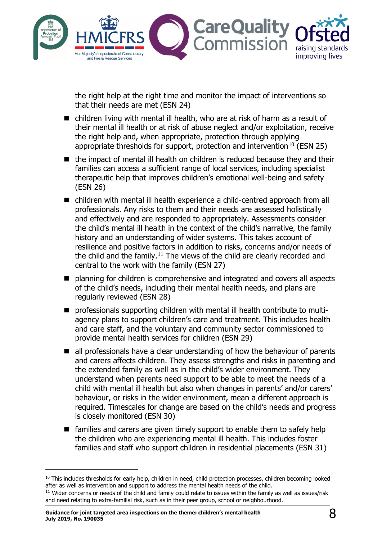

the right help at the right time and monitor the impact of interventions so that their needs are met (ESN 24)

- children living with mental ill health, who are at risk of harm as a result of their mental ill health or at risk of abuse neglect and/or exploitation, receive the right help and, when appropriate, protection through applying appropriate thresholds for support, protection and intervention<sup>[10](#page-7-0)</sup> (ESN 25)
- the impact of mental ill health on children is reduced because they and their families can access a sufficient range of local services, including specialist therapeutic help that improves children's emotional well-being and safety (ESN 26)
- children with mental ill health experience a child-centred approach from all professionals. Any risks to them and their needs are assessed holistically and effectively and are responded to appropriately. Assessments consider the child's mental ill health in the context of the child's narrative, the family history and an understanding of wider systems. This takes account of resilience and positive factors in addition to risks, concerns and/or needs of the child and the family.<sup>[11](#page-7-1)</sup> The views of the child are clearly recorded and central to the work with the family (ESN 27)
- planning for children is comprehensive and integrated and covers all aspects of the child's needs, including their mental health needs, and plans are regularly reviewed (ESN 28)
- professionals supporting children with mental ill health contribute to multiagency plans to support children's care and treatment. This includes health and care staff, and the voluntary and community sector commissioned to provide mental health services for children (ESN 29)
- all professionals have a clear understanding of how the behaviour of parents and carers affects children. They assess strengths and risks in parenting and the extended family as well as in the child's wider environment. They understand when parents need support to be able to meet the needs of a child with mental ill health but also when changes in parents' and/or carers' behaviour, or risks in the wider environment, mean a different approach is required. Timescales for change are based on the child's needs and progress is closely monitored (ESN 30)
- **E** families and carers are given timely support to enable them to safely help the children who are experiencing mental ill health. This includes foster families and staff who support children in residential placements (ESN 31)

<span id="page-7-0"></span><sup>&</sup>lt;sup>10</sup> This includes thresholds for early help, children in need, child protection processes, children becoming looked after as well as intervention and support to address the mental health needs of the child.  $11$  Wider concerns or needs of the child and family could relate to issues within the family as well as issues/risk

<span id="page-7-1"></span>and need relating to extra-familial risk, such as in their peer group, school or neighbourhood.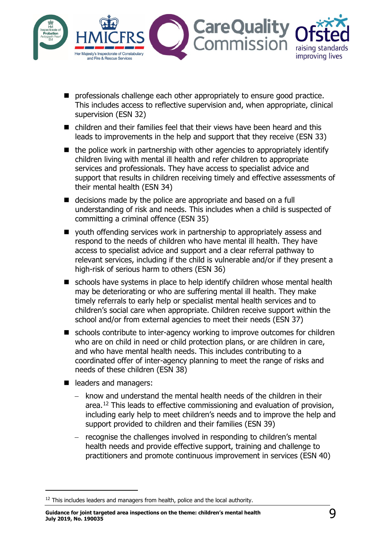

- **P** professionals challenge each other appropriately to ensure good practice. This includes access to reflective supervision and, when appropriate, clinical supervision (ESN 32)
- children and their families feel that their views have been heard and this leads to improvements in the help and support that they receive (ESN 33)
- $\blacksquare$  the police work in partnership with other agencies to appropriately identify children living with mental ill health and refer children to appropriate services and professionals. They have access to specialist advice and support that results in children receiving timely and effective assessments of their mental health (ESN 34)
- decisions made by the police are appropriate and based on a full understanding of risk and needs. This includes when a child is suspected of committing a criminal offence (ESN 35)
- vouth offending services work in partnership to appropriately assess and respond to the needs of children who have mental ill health. They have access to specialist advice and support and a clear referral pathway to relevant services, including if the child is vulnerable and/or if they present a high-risk of serious harm to others (ESN 36)
- schools have systems in place to help identify children whose mental health may be deteriorating or who are suffering mental ill health. They make timely referrals to early help or specialist mental health services and to children's social care when appropriate. Children receive support within the school and/or from external agencies to meet their needs (ESN 37)
- schools contribute to inter-agency working to improve outcomes for children who are on child in need or child protection plans, or are children in care, and who have mental health needs. This includes contributing to a coordinated offer of inter-agency planning to meet the range of risks and needs of these children (ESN 38)
- eaders and managers:

- − know and understand the mental health needs of the children in their area.[12](#page-8-0) This leads to effective commissioning and evaluation of provision, including early help to meet children's needs and to improve the help and support provided to children and their families (ESN 39)
- − recognise the challenges involved in responding to children's mental health needs and provide effective support, training and challenge to practitioners and promote continuous improvement in services (ESN 40)

**Guidance for joint targeted area inspections on the theme: children's mental health July 2019, No. 190035** 9

<span id="page-8-0"></span> $12$  This includes leaders and managers from health, police and the local authority.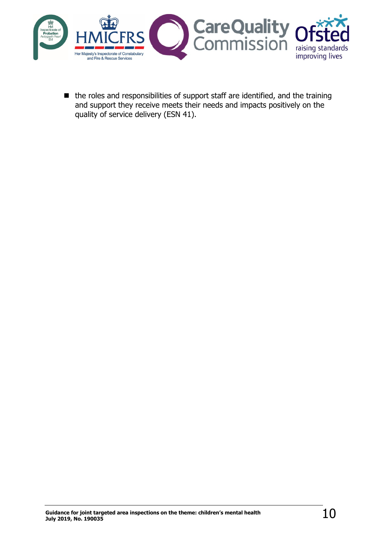

 $\blacksquare$  the roles and responsibilities of support staff are identified, and the training and support they receive meets their needs and impacts positively on the quality of service delivery (ESN 41).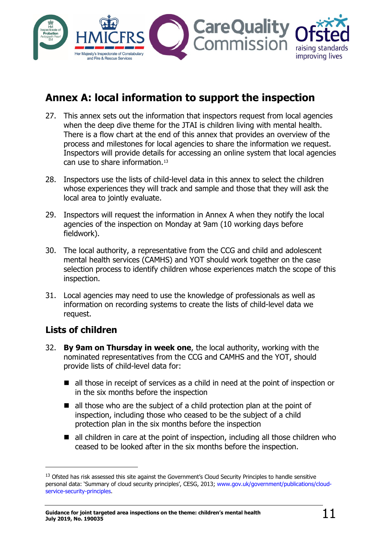

# <span id="page-10-0"></span>**Annex A: local information to support the inspection**

- 27. This annex sets out the information that inspectors request from local agencies when the deep dive theme for the JTAI is children living with mental health. There is a flow chart at the end of this annex that provides an overview of the process and milestones for local agencies to share the information we request. Inspectors will provide details for accessing an online system that local agencies can use to share information.[13](#page-10-2)
- 28. Inspectors use the lists of child-level data in this annex to select the children whose experiences they will track and sample and those that they will ask the local area to jointly evaluate.
- 29. Inspectors will request the information in Annex A when they notify the local agencies of the inspection on Monday at 9am (10 working days before fieldwork).
- 30. The local authority, a representative from the CCG and child and adolescent mental health services (CAMHS) and YOT should work together on the case selection process to identify children whose experiences match the scope of this inspection.
- 31. Local agencies may need to use the knowledge of professionals as well as information on recording systems to create the lists of child-level data we request.

### <span id="page-10-1"></span>**Lists of children**

- 32. **By 9am on Thursday in week one**, the local authority, working with the nominated representatives from the CCG and CAMHS and the YOT, should provide lists of child-level data for:
	- all those in receipt of services as a child in need at the point of inspection or in the six months before the inspection
	- all those who are the subject of a child protection plan at the point of inspection, including those who ceased to be the subject of a child protection plan in the six months before the inspection
	- $\blacksquare$  all children in care at the point of inspection, including all those children who ceased to be looked after in the six months before the inspection.

<span id="page-10-2"></span><sup>&</sup>lt;sup>13</sup> Ofsted has risk assessed this site against the Government's Cloud Security Principles to handle sensitive personal data: 'Summary of cloud security principles', CESG, 2013; [www.gov.uk/government/publications/cloud](http://www.gov.uk/government/publications/cloud-service-security-principles)[service-security-principles.](http://www.gov.uk/government/publications/cloud-service-security-principles)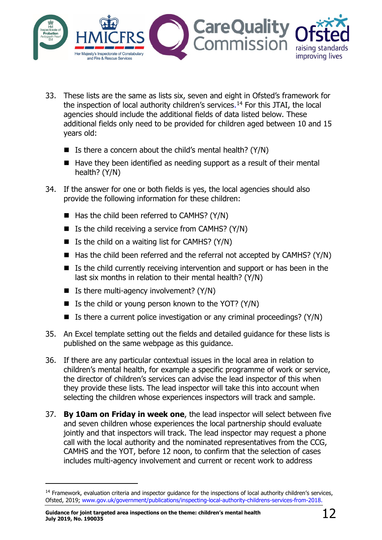

- 33. These lists are the same as lists six, seven and eight in Ofsted's framework for the inspection of local authority children's services.<sup>[14](#page-11-0)</sup> For this JTAI, the local agencies should include the additional fields of data listed below. These additional fields only need to be provided for children aged between 10 and 15 years old:
	- Is there a concern about the child's mental health?  $(Y/N)$
	- $\blacksquare$  Have they been identified as needing support as a result of their mental health? (Y/N)
- 34. If the answer for one or both fields is yes, the local agencies should also provide the following information for these children:
	- $\blacksquare$  Has the child been referred to CAMHS? (Y/N)
	- Is the child receiving a service from CAMHS?  $(Y/N)$
	- $\blacksquare$  Is the child on a waiting list for CAMHS? (Y/N)
	- $\blacksquare$  Has the child been referred and the referral not accepted by CAMHS? (Y/N)
	- Is the child currently receiving intervention and support or has been in the last six months in relation to their mental health? (Y/N)
	- $\blacksquare$  Is there multi-agency involvement? (Y/N)
	- If Is the child or young person known to the YOT? (Y/N)
	- Is there a current police investigation or any criminal proceedings?  $(Y/N)$
- 35. An Excel template setting out the fields and detailed guidance for these lists is published on the same webpage as this guidance.
- 36. If there are any particular contextual issues in the local area in relation to children's mental health, for example a specific programme of work or service, the director of children's services can advise the lead inspector of this when they provide these lists. The lead inspector will take this into account when selecting the children whose experiences inspectors will track and sample.
- 37. **By 10am on Friday in week one**, the lead inspector will select between five and seven children whose experiences the local partnership should evaluate jointly and that inspectors will track. The lead inspector may request a phone call with the local authority and the nominated representatives from the CCG, CAMHS and the YOT, before 12 noon, to confirm that the selection of cases includes multi-agency involvement and current or recent work to address

<span id="page-11-0"></span><sup>&</sup>lt;sup>14</sup> Framework, evaluation criteria and inspector quidance for the inspections of local authority children's services, Ofsted, 2019; [www.gov.uk/government/publications/inspecting-local-authority-childrens-services-from-2018.](http://www.gov.uk/government/publications/inspecting-local-authority-childrens-services-from-2018)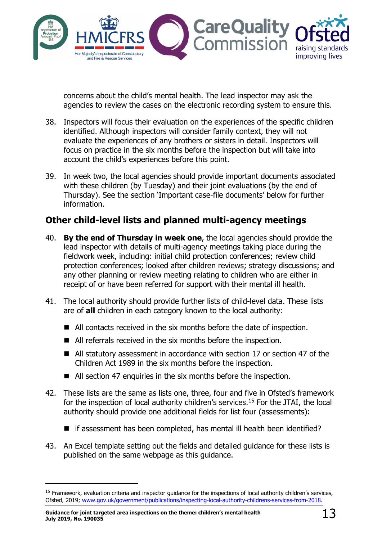

concerns about the child's mental health. The lead inspector may ask the agencies to review the cases on the electronic recording system to ensure this.

- 38. Inspectors will focus their evaluation on the experiences of the specific children identified. Although inspectors will consider family context, they will not evaluate the experiences of any brothers or sisters in detail. Inspectors will focus on practice in the six months before the inspection but will take into account the child's experiences before this point.
- 39. In week two, the local agencies should provide important documents associated with these children (by Tuesday) and their joint evaluations (by the end of Thursday). See the section 'Important [case-file documents'](#page-13-0) below for further information.

### <span id="page-12-0"></span>**Other child-level lists and planned multi-agency meetings**

- 40. **By the end of Thursday in week one**, the local agencies should provide the lead inspector with details of multi-agency meetings taking place during the fieldwork week, including: initial child protection conferences; review child protection conferences; looked after children reviews; strategy discussions; and any other planning or review meeting relating to children who are either in receipt of or have been referred for support with their mental ill health.
- 41. The local authority should provide further lists of child-level data. These lists are of **all** children in each category known to the local authority:
	- All contacts received in the six months before the date of inspection.
	- All referrals received in the six months before the inspection.
	- All statutory assessment in accordance with section 17 or section 47 of the Children Act 1989 in the six months before the inspection.
	- All section 47 enquiries in the six months before the inspection.
- 42. These lists are the same as lists one, three, four and five in Ofsted's framework for the inspection of local authority children's services.<sup>15</sup> For the JTAI, the local authority should provide one additional fields for list four (assessments):
	- if assessment has been completed, has mental ill health been identified?
- 43. An Excel template setting out the fields and detailed guidance for these lists is published on the same webpage as this guidance.

<span id="page-12-1"></span><sup>&</sup>lt;sup>15</sup> Framework, evaluation criteria and inspector quidance for the inspections of local authority children's services, Ofsted, 2019; [www.gov.uk/government/publications/inspecting-local-authority-childrens-services-from-2018.](http://www.gov.uk/government/publications/inspecting-local-authority-childrens-services-from-2018)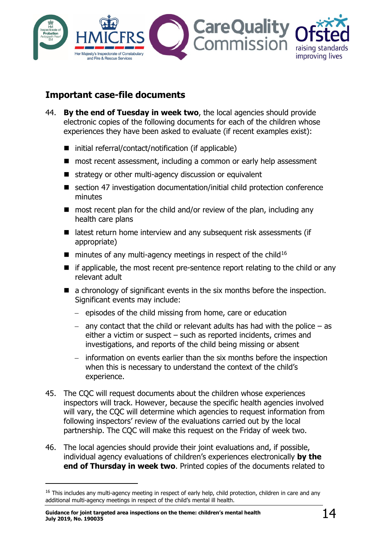

### <span id="page-13-0"></span>**Important case-file documents**

- 44. **By the end of Tuesday in week two**, the local agencies should provide electronic copies of the following documents for each of the children whose experiences they have been asked to evaluate (if recent examples exist):
	- $\blacksquare$  initial referral/contact/notification (if applicable)
	- most recent assessment, including a common or early help assessment
	- strategy or other multi-agency discussion or equivalent
	- section 47 investigation documentation/initial child protection conference minutes
	- $\blacksquare$  most recent plan for the child and/or review of the plan, including any health care plans
	- $\blacksquare$  latest return home interview and any subsequent risk assessments (if appropriate)
	- $\blacksquare$  minutes of any multi-agency meetings in respect of the child<sup>[16](#page-13-1)</sup>
	- $\blacksquare$  if applicable, the most recent pre-sentence report relating to the child or any relevant adult
	- a chronology of significant events in the six months before the inspection. Significant events may include:
		- − episodes of the child missing from home, care or education
		- − any contact that the child or relevant adults has had with the police as either a victim or suspect – such as reported incidents, crimes and investigations, and reports of the child being missing or absent
		- − information on events earlier than the six months before the inspection when this is necessary to understand the context of the child's experience.
- 45. The CQC will request documents about the children whose experiences inspectors will track. However, because the specific health agencies involved will vary, the COC will determine which agencies to request information from following inspectors' review of the evaluations carried out by the local partnership. The CQC will make this request on the Friday of week two.
- 46. The local agencies should provide their joint evaluations and, if possible, individual agency evaluations of children's experiences electronically **by the end of Thursday in week two**. Printed copies of the documents related to

<span id="page-13-1"></span><sup>&</sup>lt;sup>16</sup> This includes any multi-agency meeting in respect of early help, child protection, children in care and any additional multi-agency meetings in respect of the child's mental ill health.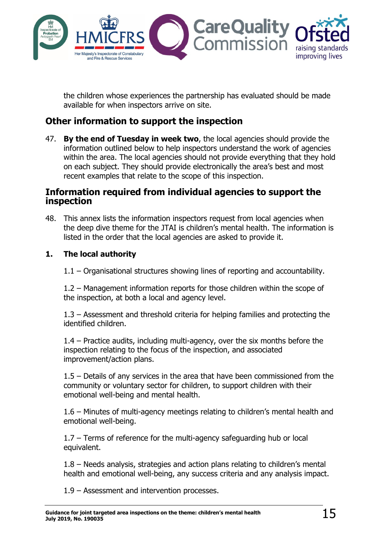

the children whose experiences the partnership has evaluated should be made available for when inspectors arrive on site.

### <span id="page-14-0"></span>**Other information to support the inspection**

47. **By the end of Tuesday in week two**, the local agencies should provide the information outlined below to help inspectors understand the work of agencies within the area. The local agencies should not provide everything that they hold on each subject. They should provide electronically the area's best and most recent examples that relate to the scope of this inspection.

#### <span id="page-14-1"></span>**Information required from individual agencies to support the inspection**

48. This annex lists the information inspectors request from local agencies when the deep dive theme for the JTAI is children's mental health. The information is listed in the order that the local agencies are asked to provide it.

#### **1. The local authority**

1.1 – Organisational structures showing lines of reporting and accountability.

1.2 – Management information reports for those children within the scope of the inspection, at both a local and agency level.

1.3 – Assessment and threshold criteria for helping families and protecting the identified children.

1.4 – Practice audits, including multi-agency, over the six months before the inspection relating to the focus of the inspection, and associated improvement/action plans.

1.5 – Details of any services in the area that have been commissioned from the community or voluntary sector for children, to support children with their emotional well-being and mental health.

1.6 – Minutes of multi-agency meetings relating to children's mental health and emotional well-being.

1.7 – Terms of reference for the multi-agency safeguarding hub or local equivalent.

1.8 – Needs analysis, strategies and action plans relating to children's mental health and emotional well-being, any success criteria and any analysis impact.

1.9 – Assessment and intervention processes.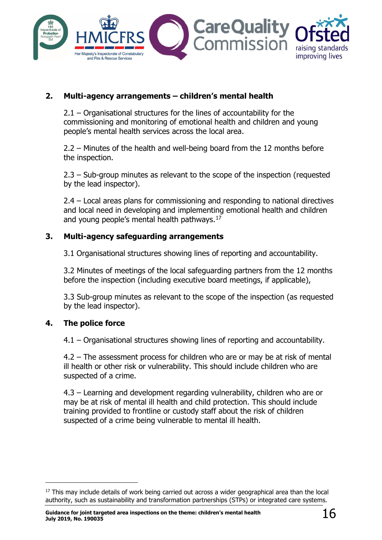

#### **2. Multi-agency arrangements – children's mental health**

2.1 – Organisational structures for the lines of accountability for the commissioning and monitoring of emotional health and children and young people's mental health services across the local area.

2.2 – Minutes of the health and well-being board from the 12 months before the inspection.

2.3 – Sub-group minutes as relevant to the scope of the inspection (requested by the lead inspector).

2.4 – Local areas plans for commissioning and responding to national directives and local need in developing and implementing emotional health and children and young people's mental health pathways.<sup>[17](#page-15-0)</sup>

#### **3. Multi-agency safeguarding arrangements**

3.1 Organisational structures showing lines of reporting and accountability.

3.2 Minutes of meetings of the local safeguarding partners from the 12 months before the inspection (including executive board meetings, if applicable),

3.3 Sub-group minutes as relevant to the scope of the inspection (as requested by the lead inspector).

#### **4. The police force**

4.1 – Organisational structures showing lines of reporting and accountability.

4.2 – The assessment process for children who are or may be at risk of mental ill health or other risk or vulnerability. This should include children who are suspected of a crime.

4.3 – Learning and development regarding vulnerability, children who are or may be at risk of mental ill health and child protection. This should include training provided to frontline or custody staff about the risk of children suspected of a crime being vulnerable to mental ill health.

<span id="page-15-0"></span><sup>&</sup>lt;sup>17</sup> This may include details of work being carried out across a wider geographical area than the local authority, such as sustainability and transformation partnerships (STPs) or integrated care systems.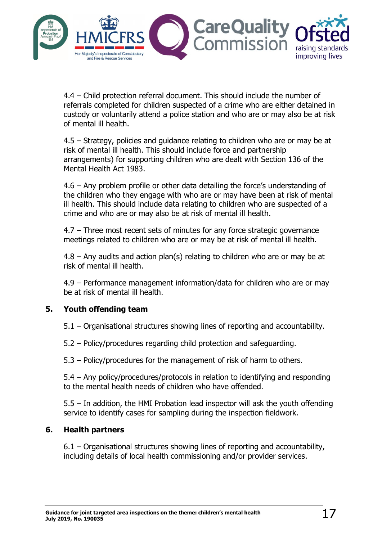

4.4 – Child protection referral document. This should include the number of referrals completed for children suspected of a crime who are either detained in custody or voluntarily attend a police station and who are or may also be at risk of mental ill health.

4.5 – Strategy, policies and guidance relating to children who are or may be at risk of mental ill health. This should include force and partnership arrangements) for supporting children who are dealt with Section 136 of the Mental Health Act 1983.

4.6 – Any problem profile or other data detailing the force's understanding of the children who they engage with who are or may have been at risk of mental ill health. This should include data relating to children who are suspected of a crime and who are or may also be at risk of mental ill health.

4.7 – Three most recent sets of minutes for any force strategic governance meetings related to children who are or may be at risk of mental ill health.

 $4.8$  – Any audits and action plan(s) relating to children who are or may be at risk of mental ill health.

4.9 – Performance management information/data for children who are or may be at risk of mental ill health.

#### **5. Youth offending team**

5.1 – Organisational structures showing lines of reporting and accountability.

5.2 – Policy/procedures regarding child protection and safeguarding.

5.3 – Policy/procedures for the management of risk of harm to others.

5.4 – Any policy/procedures/protocols in relation to identifying and responding to the mental health needs of children who have offended.

5.5 – In addition, the HMI Probation lead inspector will ask the youth offending service to identify cases for sampling during the inspection fieldwork.

#### **6. Health partners**

6.1 – Organisational structures showing lines of reporting and accountability, including details of local health commissioning and/or provider services.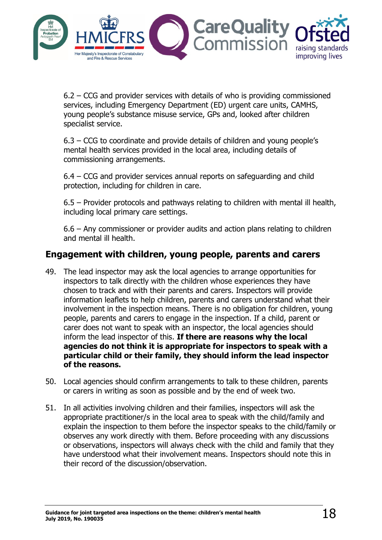

6.2 – CCG and provider services with details of who is providing commissioned services, including Emergency Department (ED) urgent care units, CAMHS, young people's substance misuse service, GPs and, looked after children specialist service.

6.3 – CCG to coordinate and provide details of children and young people's mental health services provided in the local area, including details of commissioning arrangements.

6.4 – CCG and provider services annual reports on safeguarding and child protection, including for children in care.

6.5 – Provider protocols and pathways relating to children with mental ill health, including local primary care settings.

6.6 – Any commissioner or provider audits and action plans relating to children and mental ill health.

### <span id="page-17-0"></span>**Engagement with children, young people, parents and carers**

- 49. The lead inspector may ask the local agencies to arrange opportunities for inspectors to talk directly with the children whose experiences they have chosen to track and with their parents and carers. Inspectors will provide information leaflets to help children, parents and carers understand what their involvement in the inspection means. There is no obligation for children, young people, parents and carers to engage in the inspection. If a child, parent or carer does not want to speak with an inspector, the local agencies should inform the lead inspector of this. **If there are reasons why the local agencies do not think it is appropriate for inspectors to speak with a particular child or their family, they should inform the lead inspector of the reasons.**
- 50. Local agencies should confirm arrangements to talk to these children, parents or carers in writing as soon as possible and by the end of week two.
- 51. In all activities involving children and their families, inspectors will ask the appropriate practitioner/s in the local area to speak with the child/family and explain the inspection to them before the inspector speaks to the child/family or observes any work directly with them. Before proceeding with any discussions or observations, inspectors will always check with the child and family that they have understood what their involvement means. Inspectors should note this in their record of the discussion/observation.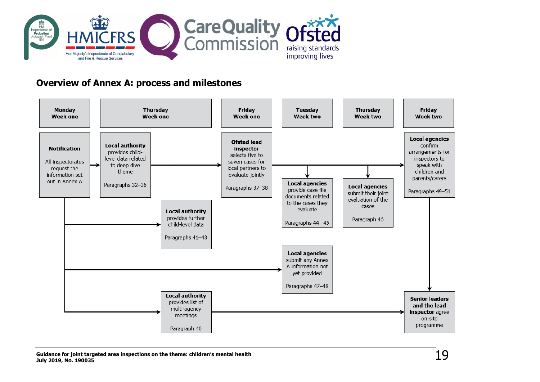

### **Overview of Annex A: process and milestones**

<span id="page-18-0"></span>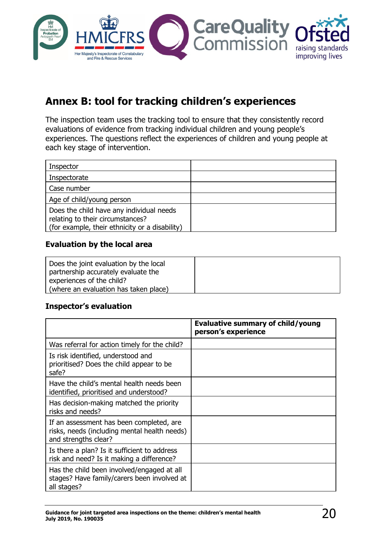

# <span id="page-19-0"></span>**Annex B: tool for tracking children's experiences**

The inspection team uses the tracking tool to ensure that they consistently record evaluations of evidence from tracking individual children and young people's experiences. The questions reflect the experiences of children and young people at each key stage of intervention.

| Inspector                                                                                                                      |  |
|--------------------------------------------------------------------------------------------------------------------------------|--|
| Inspectorate                                                                                                                   |  |
| Case number                                                                                                                    |  |
| Age of child/young person                                                                                                      |  |
| Does the child have any individual needs<br>relating to their circumstances?<br>(for example, their ethnicity or a disability) |  |

#### **Evaluation by the local area**

| Does the joint evaluation by the local |  |
|----------------------------------------|--|
| partnership accurately evaluate the    |  |
| experiences of the child?              |  |
| (where an evaluation has taken place)  |  |

#### **Inspector's evaluation**

|                                                                                                                  | <b>Evaluative summary of child/young</b><br>person's experience |
|------------------------------------------------------------------------------------------------------------------|-----------------------------------------------------------------|
| Was referral for action timely for the child?                                                                    |                                                                 |
| Is risk identified, understood and<br>prioritised? Does the child appear to be<br>safe?                          |                                                                 |
| Have the child's mental health needs been<br>identified, prioritised and understood?                             |                                                                 |
| Has decision-making matched the priority<br>risks and needs?                                                     |                                                                 |
| If an assessment has been completed, are<br>risks, needs (including mental health needs)<br>and strengths clear? |                                                                 |
| Is there a plan? Is it sufficient to address<br>risk and need? Is it making a difference?                        |                                                                 |
| Has the child been involved/engaged at all<br>stages? Have family/carers been involved at<br>all stages?         |                                                                 |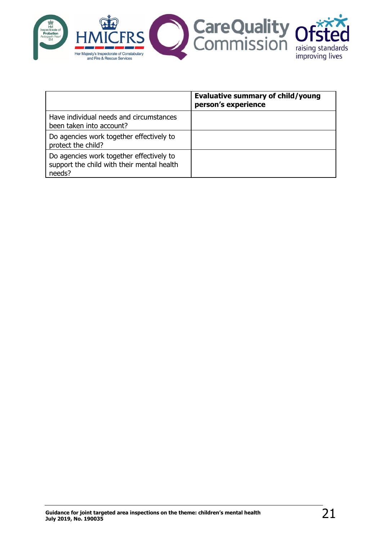

|                                                                                                  | <b>Evaluative summary of child/young</b><br>person's experience |
|--------------------------------------------------------------------------------------------------|-----------------------------------------------------------------|
| Have individual needs and circumstances<br>been taken into account?                              |                                                                 |
| Do agencies work together effectively to<br>protect the child?                                   |                                                                 |
| Do agencies work together effectively to<br>support the child with their mental health<br>needs? |                                                                 |